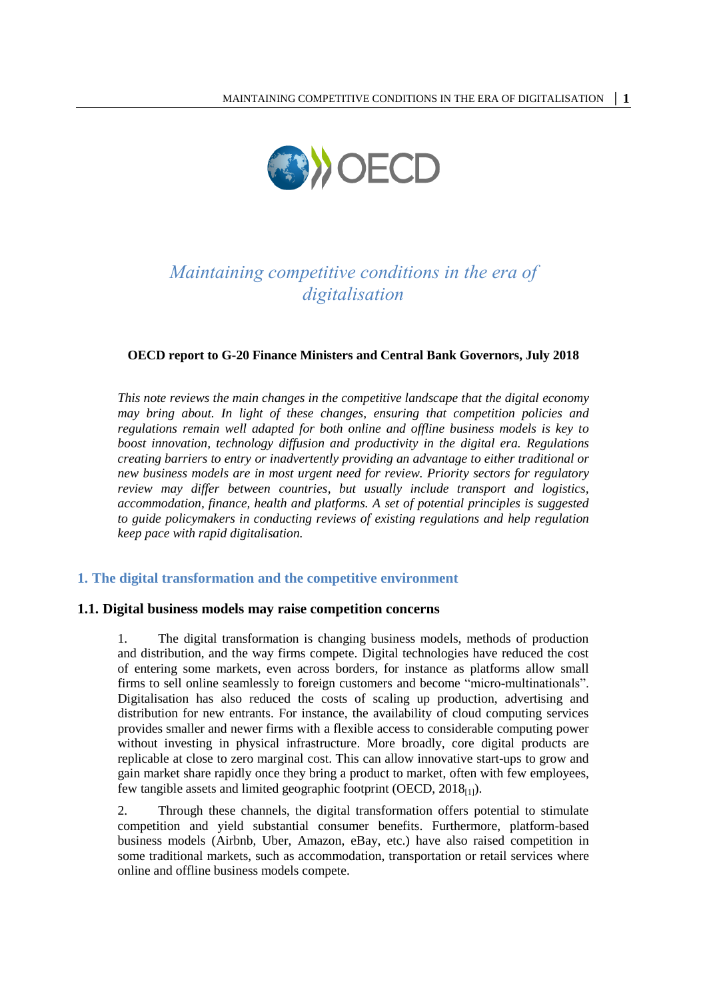

# *Maintaining competitive conditions in the era of digitalisation*

#### **OECD report to G-20 Finance Ministers and Central Bank Governors, July 2018**

*This note reviews the main changes in the competitive landscape that the digital economy may bring about. In light of these changes, ensuring that competition policies and regulations remain well adapted for both online and offline business models is key to boost innovation, technology diffusion and productivity in the digital era. Regulations creating barriers to entry or inadvertently providing an advantage to either traditional or new business models are in most urgent need for review. Priority sectors for regulatory review may differ between countries, but usually include transport and logistics, accommodation, finance, health and platforms. A set of potential principles is suggested to guide policymakers in conducting reviews of existing regulations and help regulation keep pace with rapid digitalisation.*

#### **1. The digital transformation and the competitive environment**

#### **1.1. Digital business models may raise competition concerns**

1. The digital transformation is changing business models, methods of production and distribution, and the way firms compete. Digital technologies have reduced the cost of entering some markets, even across borders, for instance as platforms allow small firms to sell online seamlessly to foreign customers and become "micro-multinationals". Digitalisation has also reduced the costs of scaling up production, advertising and distribution for new entrants. For instance, the availability of cloud computing services provides smaller and newer firms with a flexible access to considerable computing power without investing in physical infrastructure. More broadly, core digital products are replicable at close to zero marginal cost. This can allow innovative start-ups to grow and gain market share rapidly once they bring a product to market, often with few employees, few tangible assets and limited geographic footprint (OECD,  $2018_{[1]}$ ).

2. Through these channels, the digital transformation offers potential to stimulate competition and yield substantial consumer benefits. Furthermore, platform-based business models (Airbnb, Uber, Amazon, eBay, etc.) have also raised competition in some traditional markets, such as accommodation, transportation or retail services where online and offline business models compete.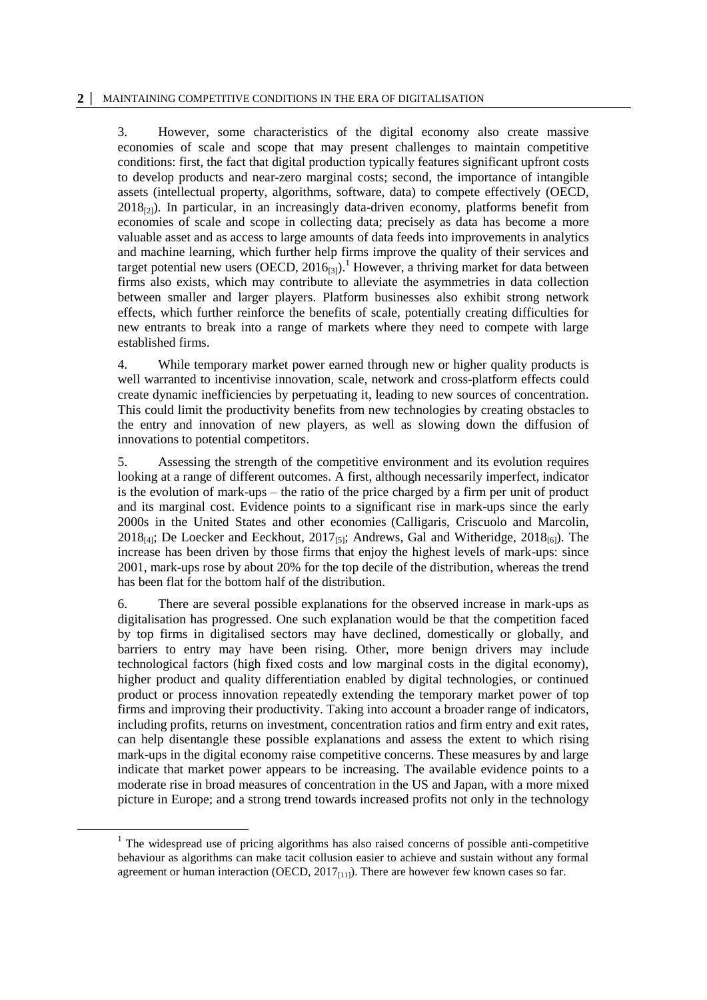#### **2 │** MAINTAINING COMPETITIVE CONDITIONS IN THE ERA OF DIGITALISATION

3. However, some characteristics of the digital economy also create massive economies of scale and scope that may present challenges to maintain competitive conditions: first, the fact that digital production typically features significant upfront costs to develop products and near-zero marginal costs; second, the importance of intangible assets (intellectual property, algorithms, software, data) to compete effectively (OECD,  $2018_{[2]}$ ). In particular, in an increasingly data-driven economy, platforms benefit from economies of scale and scope in collecting data; precisely as data has become a more valuable asset and as access to large amounts of data feeds into improvements in analytics and machine learning, which further help firms improve the quality of their services and target potential new users  $(OECD, 2016_{[3]})$ .<sup>1</sup> However, a thriving market for data between firms also exists, which may contribute to alleviate the asymmetries in data collection between smaller and larger players. Platform businesses also exhibit strong network effects, which further reinforce the benefits of scale, potentially creating difficulties for new entrants to break into a range of markets where they need to compete with large established firms.

4. While temporary market power earned through new or higher quality products is well warranted to incentivise innovation, scale, network and cross-platform effects could create dynamic inefficiencies by perpetuating it, leading to new sources of concentration. This could limit the productivity benefits from new technologies by creating obstacles to the entry and innovation of new players, as well as slowing down the diffusion of innovations to potential competitors.

5. Assessing the strength of the competitive environment and its evolution requires looking at a range of different outcomes. A first, although necessarily imperfect, indicator is the evolution of mark-ups – the ratio of the price charged by a firm per unit of product and its marginal cost. Evidence points to a significant rise in mark-ups since the early 2000s in the United States and other economies (Calligaris, Criscuolo and Marcolin, 2018<sub>[4]</sub>; De Loecker and Eeckhout, 2017<sub>[5]</sub>; Andrews, Gal and Witheridge, 2018<sub>[6]</sub>). The increase has been driven by those firms that enjoy the highest levels of mark-ups: since 2001, mark-ups rose by about 20% for the top decile of the distribution, whereas the trend has been flat for the bottom half of the distribution.

6. There are several possible explanations for the observed increase in mark-ups as digitalisation has progressed. One such explanation would be that the competition faced by top firms in digitalised sectors may have declined, domestically or globally, and barriers to entry may have been rising. Other, more benign drivers may include technological factors (high fixed costs and low marginal costs in the digital economy), higher product and quality differentiation enabled by digital technologies, or continued product or process innovation repeatedly extending the temporary market power of top firms and improving their productivity. Taking into account a broader range of indicators, including profits, returns on investment, concentration ratios and firm entry and exit rates, can help disentangle these possible explanations and assess the extent to which rising mark-ups in the digital economy raise competitive concerns. These measures by and large indicate that market power appears to be increasing. The available evidence points to a moderate rise in broad measures of concentration in the US and Japan, with a more mixed picture in Europe; and a strong trend towards increased profits not only in the technology

<sup>&</sup>lt;sup>1</sup> The widespread use of pricing algorithms has also raised concerns of possible anti-competitive behaviour as algorithms can make tacit collusion easier to achieve and sustain without any formal agreement or human interaction (OECD,  $2017_{[11]}$ ). There are however few known cases so far.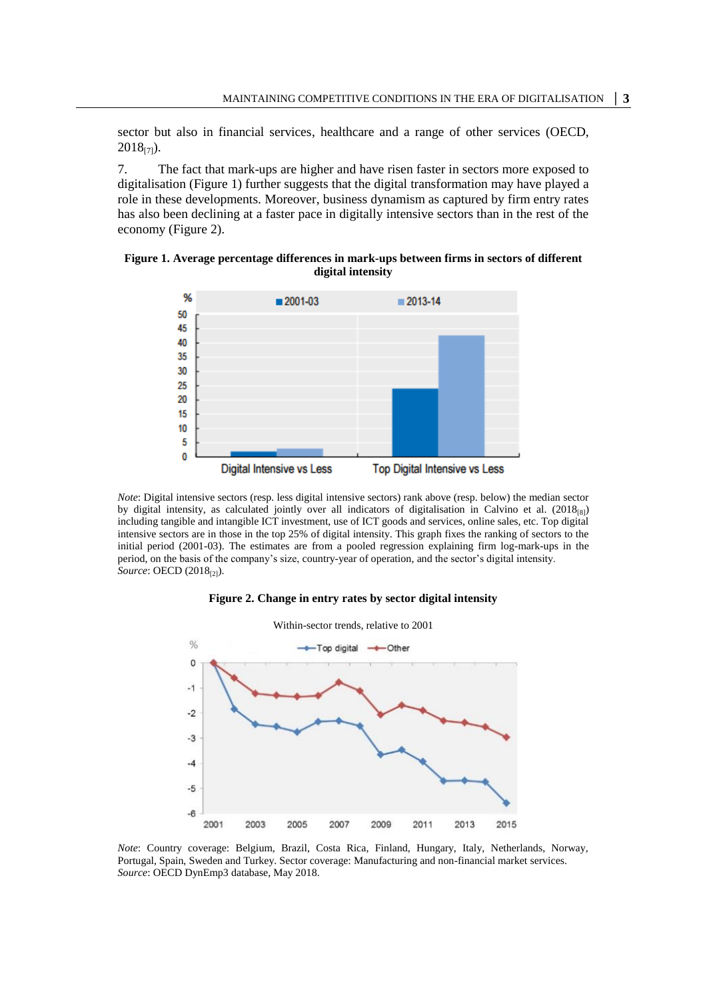sector but also in financial services, healthcare and a range of other services (OECD,  $2018_{[7]}$ ).

7. The fact that mark-ups are higher and have risen faster in sectors more exposed to digitalisation [\(Figure](#page-2-0) 1) further suggests that the digital transformation may have played a role in these developments. Moreover, business dynamism as captured by firm entry rates has also been declining at a faster pace in digitally intensive sectors than in the rest of the economy [\(Figure](#page-2-1) 2).

<span id="page-2-0"></span>



*Note*: Digital intensive sectors (resp. less digital intensive sectors) rank above (resp. below) the median sector by digital intensity, as calculated jointly over all indicators of digitalisation in Calvino et al.  $(2018_{[8]})$ including tangible and intangible ICT investment, use of ICT goods and services, online sales, etc. Top digital intensive sectors are in those in the top 25% of digital intensity. This graph fixes the ranking of sectors to the initial period (2001-03). The estimates are from a pooled regression explaining firm log-mark-ups in the period, on the basis of the company's size, country-year of operation, and the sector's digital intensity. *Source*: OECD (2018<sub>[2]</sub>).



<span id="page-2-1"></span>

*Note*: Country coverage: Belgium, Brazil, Costa Rica, Finland, Hungary, Italy, Netherlands, Norway, Portugal, Spain, Sweden and Turkey. Sector coverage: Manufacturing and non-financial market services. *Source*: OECD DynEmp3 database, May 2018.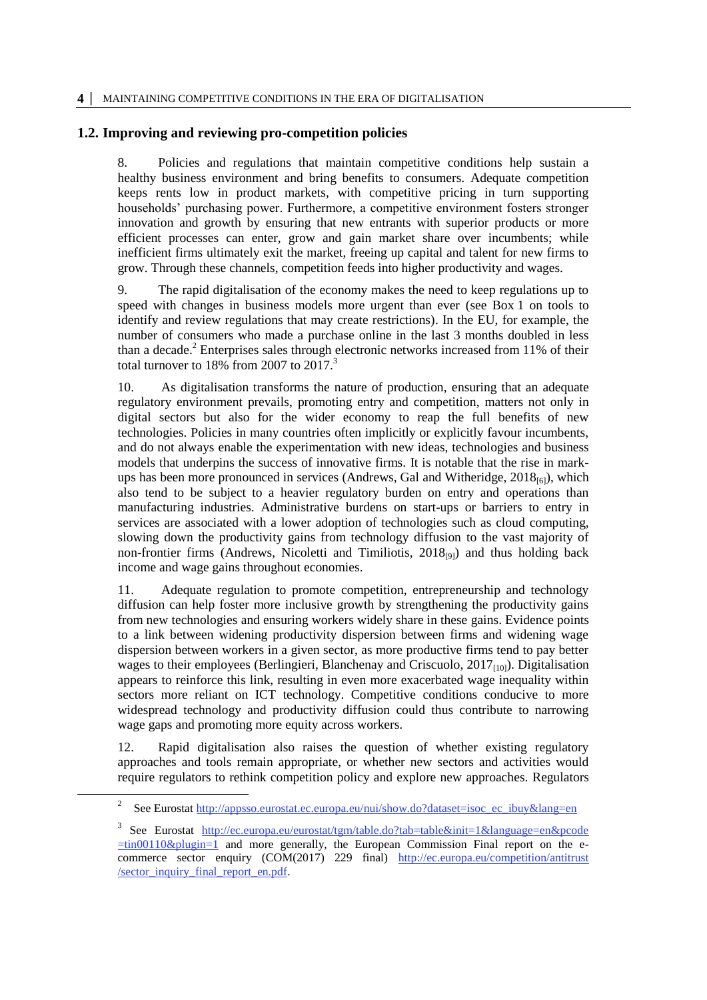## **1.2. Improving and reviewing pro-competition policies**

8. Policies and regulations that maintain competitive conditions help sustain a healthy business environment and bring benefits to consumers. Adequate competition keeps rents low in product markets, with competitive pricing in turn supporting households' purchasing power. Furthermore, a competitive environment fosters stronger innovation and growth by ensuring that new entrants with superior products or more efficient processes can enter, grow and gain market share over incumbents; while inefficient firms ultimately exit the market, freeing up capital and talent for new firms to grow. Through these channels, competition feeds into higher productivity and wages.

9. The rapid digitalisation of the economy makes the need to keep regulations up to speed with changes in business models more urgent than ever (see [Box](#page-5-0) 1 on tools to identify and review regulations that may create restrictions). In the EU, for example, the number of consumers who made a purchase online in the last 3 months doubled in less than a decade.<sup>2</sup> Enterprises sales through electronic networks increased from  $11\%$  of their total turnover to  $18\%$  from 2007 to  $2017<sup>3</sup>$ 

10. As digitalisation transforms the nature of production, ensuring that an adequate regulatory environment prevails, promoting entry and competition, matters not only in digital sectors but also for the wider economy to reap the full benefits of new technologies. Policies in many countries often implicitly or explicitly favour incumbents, and do not always enable the experimentation with new ideas, technologies and business models that underpins the success of innovative firms. It is notable that the rise in markups has been more pronounced in services (Andrews, Gal and Witheridge,  $2018_{[6]}$ ), which also tend to be subject to a heavier regulatory burden on entry and operations than manufacturing industries. Administrative burdens on start-ups or barriers to entry in services are associated with a lower adoption of technologies such as cloud computing, slowing down the productivity gains from technology diffusion to the vast majority of non-frontier firms (Andrews, Nicoletti and Timiliotis, 2018<sub>[9]</sub>) and thus holding back income and wage gains throughout economies.

11. Adequate regulation to promote competition, entrepreneurship and technology diffusion can help foster more inclusive growth by strengthening the productivity gains from new technologies and ensuring workers widely share in these gains. Evidence points to a link between widening productivity dispersion between firms and widening wage dispersion between workers in a given sector, as more productive firms tend to pay better wages to their employees (Berlingieri, Blanchenay and Criscuolo,  $2017_{[10]}$ ). Digitalisation appears to reinforce this link, resulting in even more exacerbated wage inequality within sectors more reliant on ICT technology. Competitive conditions conducive to more widespread technology and productivity diffusion could thus contribute to narrowing wage gaps and promoting more equity across workers.

12. Rapid digitalisation also raises the question of whether existing regulatory approaches and tools remain appropriate, or whether new sectors and activities would require regulators to rethink competition policy and explore new approaches. Regulators

<sup>2</sup> See Eurostat [http://appsso.eurostat.ec.europa.eu/nui/show.do?dataset=isoc\\_ec\\_ibuy&lang=en](http://appsso.eurostat.ec.europa.eu/nui/show.do?dataset=isoc_ec_ibuy&lang=en)

<sup>3</sup> See Eurostat [http://ec.europa.eu/eurostat/tgm/table.do?tab=table&init=1&language=en&pcode](http://ec.europa.eu/eurostat/tgm/table.do?tab=table&init=1&language=en&pcode=tin00110&plugin=1)  $\frac{\pm \text{tin00110\&plugin=1}}{\text{tn}}$  and more generally, the European Commission Final report on the ecommerce sector enquiry (COM(2017) 229 final) [http://ec.europa.eu/competition/antitrust](http://ec.europa.eu/competition/antitrust/sector_inquiry_final_report_en.pdf) [/sector\\_inquiry\\_final\\_report\\_en.pdf.](http://ec.europa.eu/competition/antitrust/sector_inquiry_final_report_en.pdf)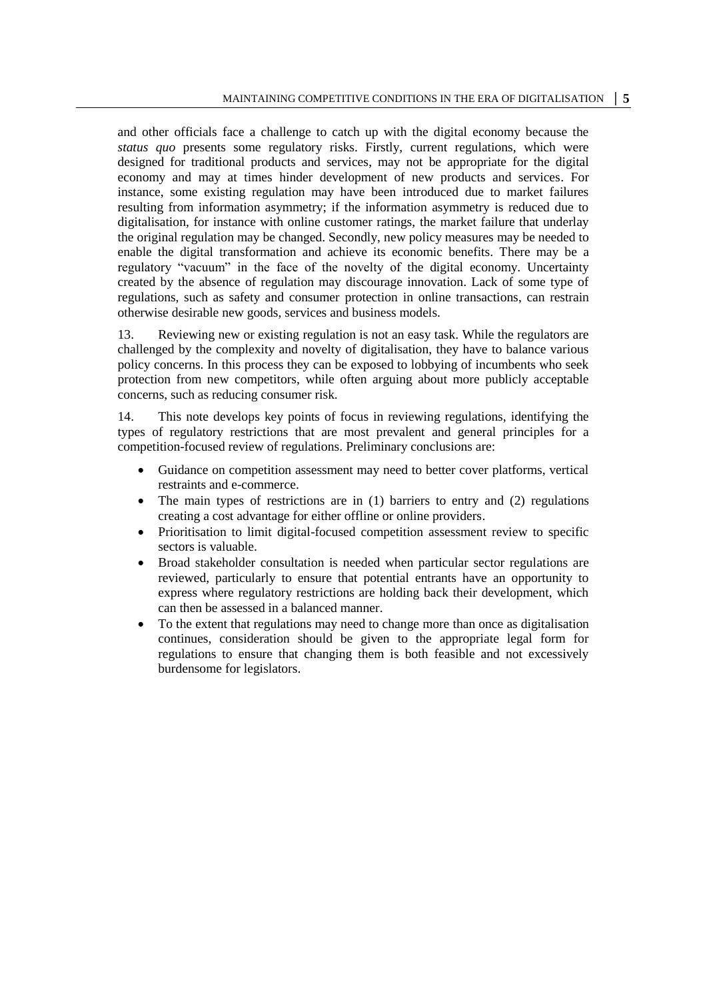and other officials face a challenge to catch up with the digital economy because the *status quo* presents some regulatory risks. Firstly, current regulations, which were designed for traditional products and services, may not be appropriate for the digital economy and may at times hinder development of new products and services. For instance, some existing regulation may have been introduced due to market failures resulting from information asymmetry; if the information asymmetry is reduced due to digitalisation, for instance with online customer ratings, the market failure that underlay the original regulation may be changed. Secondly, new policy measures may be needed to enable the digital transformation and achieve its economic benefits. There may be a regulatory "vacuum" in the face of the novelty of the digital economy. Uncertainty created by the absence of regulation may discourage innovation. Lack of some type of regulations, such as safety and consumer protection in online transactions, can restrain otherwise desirable new goods, services and business models.

13. Reviewing new or existing regulation is not an easy task. While the regulators are challenged by the complexity and novelty of digitalisation, they have to balance various policy concerns. In this process they can be exposed to lobbying of incumbents who seek protection from new competitors, while often arguing about more publicly acceptable concerns, such as reducing consumer risk.

14. This note develops key points of focus in reviewing regulations, identifying the types of regulatory restrictions that are most prevalent and general principles for a competition-focused review of regulations. Preliminary conclusions are:

- Guidance on competition assessment may need to better cover platforms, vertical restraints and e-commerce.
- The main types of restrictions are in (1) barriers to entry and (2) regulations creating a cost advantage for either offline or online providers.
- Prioritisation to limit digital-focused competition assessment review to specific sectors is valuable.
- Broad stakeholder consultation is needed when particular sector regulations are reviewed, particularly to ensure that potential entrants have an opportunity to express where regulatory restrictions are holding back their development, which can then be assessed in a balanced manner.
- To the extent that regulations may need to change more than once as digitalisation continues, consideration should be given to the appropriate legal form for regulations to ensure that changing them is both feasible and not excessively burdensome for legislators.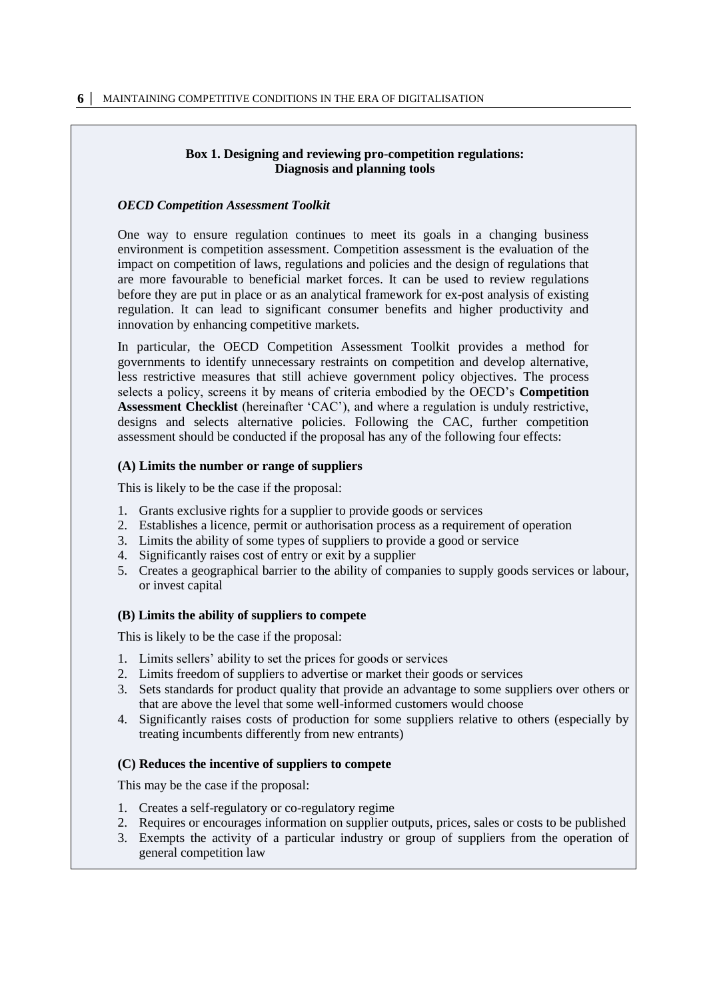## **Box 1. Designing and reviewing pro-competition regulations: Diagnosis and planning tools**

## <span id="page-5-0"></span>*OECD Competition Assessment Toolkit*

One way to ensure regulation continues to meet its goals in a changing business environment is competition assessment. Competition assessment is the evaluation of the impact on competition of laws, regulations and policies and the design of regulations that are more favourable to beneficial market forces. It can be used to review regulations before they are put in place or as an analytical framework for ex-post analysis of existing regulation. It can lead to significant consumer benefits and higher productivity and innovation by enhancing competitive markets.

In particular, the OECD Competition Assessment Toolkit provides a method for governments to identify unnecessary restraints on competition and develop alternative, less restrictive measures that still achieve government policy objectives. The process selects a policy, screens it by means of criteria embodied by the OECD's **Competition Assessment Checklist** (hereinafter 'CAC'), and where a regulation is unduly restrictive, designs and selects alternative policies. Following the CAC, further competition assessment should be conducted if the proposal has any of the following four effects:

## **(A) Limits the number or range of suppliers**

This is likely to be the case if the proposal:

- 1. Grants exclusive rights for a supplier to provide goods or services
- 2. Establishes a licence, permit or authorisation process as a requirement of operation
- 3. Limits the ability of some types of suppliers to provide a good or service
- 4. Significantly raises cost of entry or exit by a supplier
- 5. Creates a geographical barrier to the ability of companies to supply goods services or labour, or invest capital

#### **(B) Limits the ability of suppliers to compete**

This is likely to be the case if the proposal:

- 1. Limits sellers' ability to set the prices for goods or services
- 2. Limits freedom of suppliers to advertise or market their goods or services
- 3. Sets standards for product quality that provide an advantage to some suppliers over others or that are above the level that some well-informed customers would choose
- 4. Significantly raises costs of production for some suppliers relative to others (especially by treating incumbents differently from new entrants)

#### **(C) Reduces the incentive of suppliers to compete**

This may be the case if the proposal:

- 1. Creates a self-regulatory or co-regulatory regime
- 2. Requires or encourages information on supplier outputs, prices, sales or costs to be published
- 3. Exempts the activity of a particular industry or group of suppliers from the operation of general competition law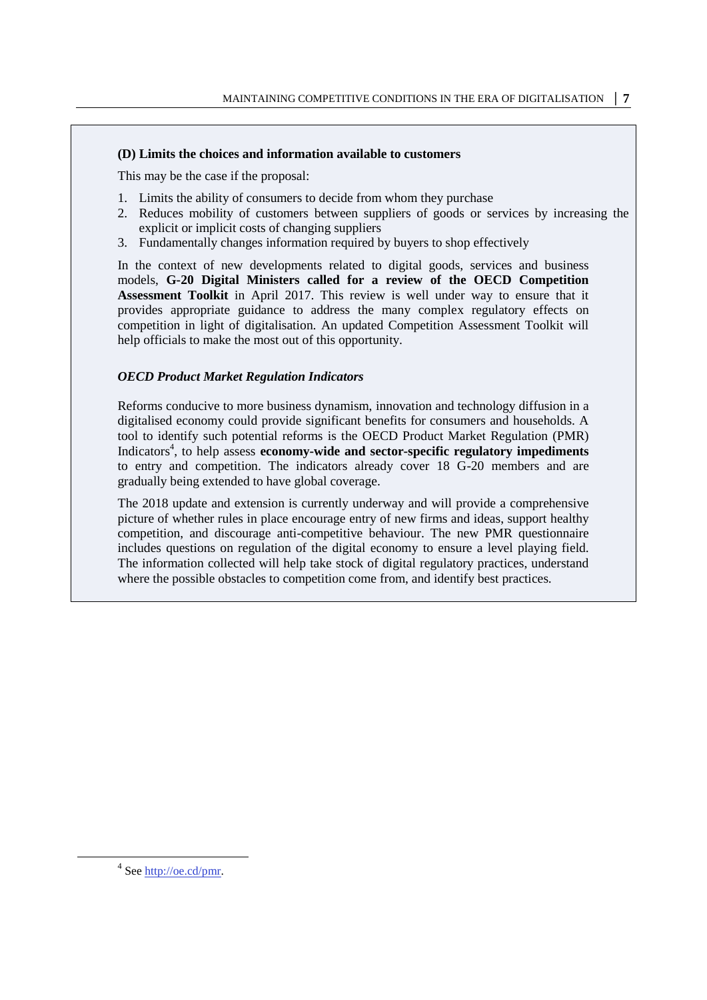## **(D) Limits the choices and information available to customers**

This may be the case if the proposal:

- 1. Limits the ability of consumers to decide from whom they purchase
- 2. Reduces mobility of customers between suppliers of goods or services by increasing the explicit or implicit costs of changing suppliers
- 3. Fundamentally changes information required by buyers to shop effectively

In the context of new developments related to digital goods, services and business models, **G-20 Digital Ministers called for a review of the OECD Competition Assessment Toolkit** in April 2017. This review is well under way to ensure that it provides appropriate guidance to address the many complex regulatory effects on competition in light of digitalisation. An updated Competition Assessment Toolkit will help officials to make the most out of this opportunity.

## *OECD Product Market Regulation Indicators*

Reforms conducive to more business dynamism, innovation and technology diffusion in a digitalised economy could provide significant benefits for consumers and households. A tool to identify such potential reforms is the OECD Product Market Regulation (PMR) Indicators<sup>4</sup>, to help assess **economy-wide and sector-specific regulatory impediments** to entry and competition. The indicators already cover 18 G-20 members and are gradually being extended to have global coverage.

The 2018 update and extension is currently underway and will provide a comprehensive picture of whether rules in place encourage entry of new firms and ideas, support healthy competition, and discourage anti-competitive behaviour. The new PMR questionnaire includes questions on regulation of the digital economy to ensure a level playing field. The information collected will help take stock of digital regulatory practices, understand where the possible obstacles to competition come from, and identify best practices.

 $\overline{a}$ 

<sup>&</sup>lt;sup>4</sup> See http://oe.cd/pmr.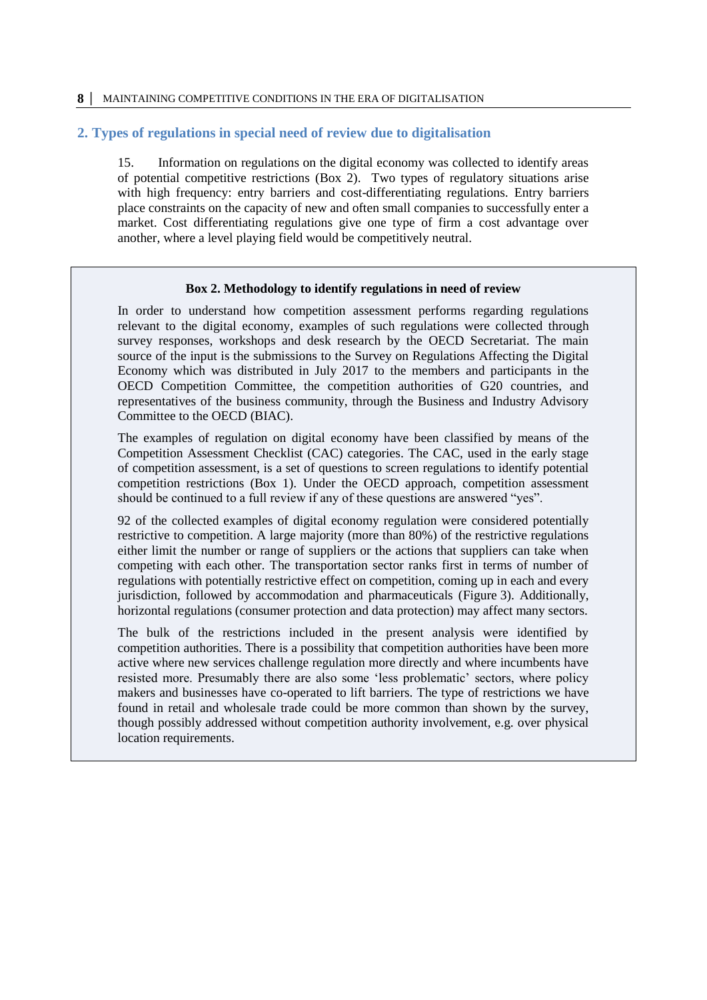#### **8 │** MAINTAINING COMPETITIVE CONDITIONS IN THE ERA OF DIGITALISATION

#### **2. Types of regulations in special need of review due to digitalisation**

15. Information on regulations on the digital economy was collected to identify areas of potential competitive restrictions (Box 2). Two types of regulatory situations arise with high frequency: entry barriers and cost-differentiating regulations. Entry barriers place constraints on the capacity of new and often small companies to successfully enter a market. Cost differentiating regulations give one type of firm a cost advantage over another, where a level playing field would be competitively neutral.

#### **Box 2. Methodology to identify regulations in need of review**

In order to understand how competition assessment performs regarding regulations relevant to the digital economy, examples of such regulations were collected through survey responses, workshops and desk research by the OECD Secretariat. The main source of the input is the submissions to the Survey on Regulations Affecting the Digital Economy which was distributed in July 2017 to the members and participants in the OECD Competition Committee, the competition authorities of G20 countries, and representatives of the business community, through the Business and Industry Advisory Committee to the OECD (BIAC).

The examples of regulation on digital economy have been classified by means of the Competition Assessment Checklist (CAC) categories. The CAC, used in the early stage of competition assessment, is a set of questions to screen regulations to identify potential competition restrictions (Box 1). Under the OECD approach, competition assessment should be continued to a full review if any of these questions are answered "yes".

92 of the collected examples of digital economy regulation were considered potentially restrictive to competition. A large majority (more than 80%) of the restrictive regulations either limit the number or range of suppliers or the actions that suppliers can take when competing with each other. The transportation sector ranks first in terms of number of regulations with potentially restrictive effect on competition, coming up in each and every jurisdiction, followed by accommodation and pharmaceuticals [\(Figure](#page-8-0) 3). Additionally, horizontal regulations (consumer protection and data protection) may affect many sectors.

The bulk of the restrictions included in the present analysis were identified by competition authorities. There is a possibility that competition authorities have been more active where new services challenge regulation more directly and where incumbents have resisted more. Presumably there are also some 'less problematic' sectors, where policy makers and businesses have co-operated to lift barriers. The type of restrictions we have found in retail and wholesale trade could be more common than shown by the survey, though possibly addressed without competition authority involvement, e.g. over physical location requirements.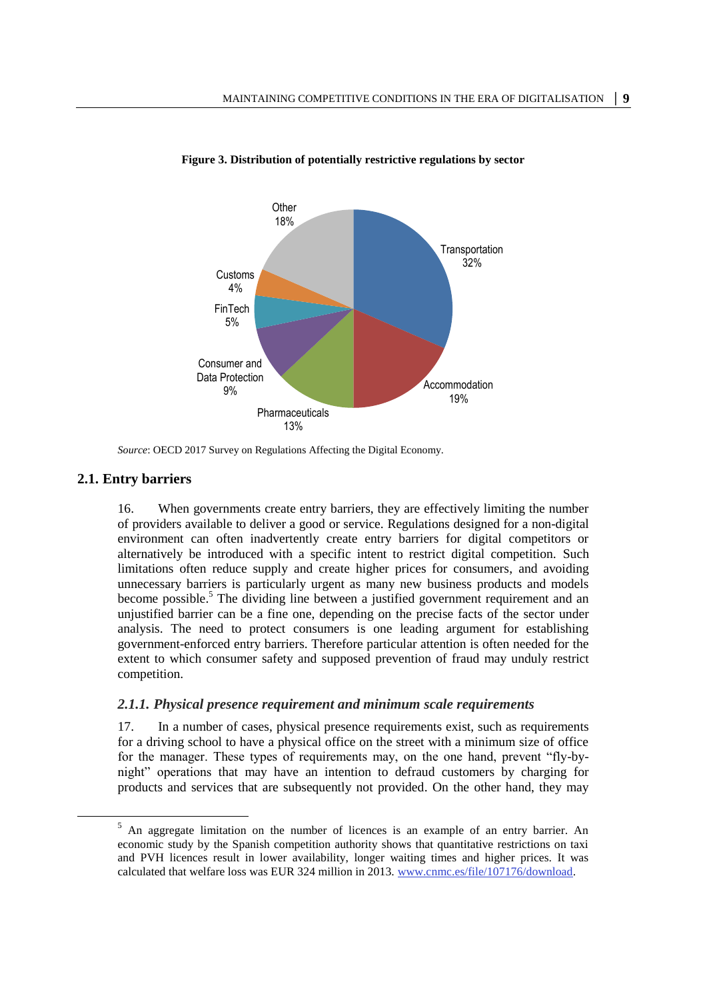

<span id="page-8-0"></span>

## **2.1. Entry barriers**

 $\overline{a}$ 

16. When governments create entry barriers, they are effectively limiting the number of providers available to deliver a good or service. Regulations designed for a non-digital environment can often inadvertently create entry barriers for digital competitors or alternatively be introduced with a specific intent to restrict digital competition. Such limitations often reduce supply and create higher prices for consumers, and avoiding unnecessary barriers is particularly urgent as many new business products and models become possible.<sup>5</sup> The dividing line between a justified government requirement and an unjustified barrier can be a fine one, depending on the precise facts of the sector under analysis. The need to protect consumers is one leading argument for establishing government-enforced entry barriers. Therefore particular attention is often needed for the extent to which consumer safety and supposed prevention of fraud may unduly restrict competition.

## *2.1.1. Physical presence requirement and minimum scale requirements*

17. In a number of cases, physical presence requirements exist, such as requirements for a driving school to have a physical office on the street with a minimum size of office for the manager. These types of requirements may, on the one hand, prevent "fly-bynight" operations that may have an intention to defraud customers by charging for products and services that are subsequently not provided. On the other hand, they may

*Source*: OECD 2017 Survey on Regulations Affecting the Digital Economy.

<sup>5</sup> An aggregate limitation on the number of licences is an example of an entry barrier. An economic study by the Spanish competition authority shows that quantitative restrictions on taxi and PVH licences result in lower availability, longer waiting times and higher prices. It was calculated that welfare loss was EUR 324 million in 2013. [www.cnmc.es/file/107176/download.](file:///C:/Users/ENNIS_S/AppData/Local/Microsoft/Windows/Temporary%20Internet%20Files/Content.Outlook/E5ZGB5N8/www.cnmc.es/file/107176/download)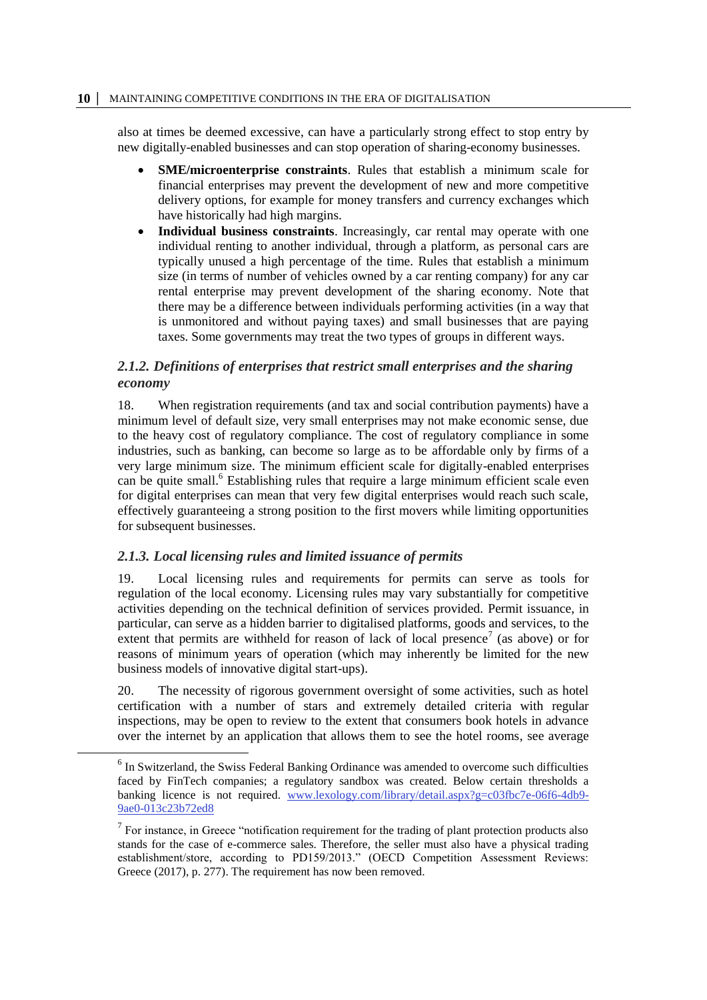also at times be deemed excessive, can have a particularly strong effect to stop entry by new digitally-enabled businesses and can stop operation of sharing-economy businesses.

- **SME/microenterprise constraints**. Rules that establish a minimum scale for financial enterprises may prevent the development of new and more competitive delivery options, for example for money transfers and currency exchanges which have historically had high margins.
- **Individual business constraints**. Increasingly, car rental may operate with one individual renting to another individual, through a platform, as personal cars are typically unused a high percentage of the time. Rules that establish a minimum size (in terms of number of vehicles owned by a car renting company) for any car rental enterprise may prevent development of the sharing economy. Note that there may be a difference between individuals performing activities (in a way that is unmonitored and without paying taxes) and small businesses that are paying taxes. Some governments may treat the two types of groups in different ways.

# *2.1.2. Definitions of enterprises that restrict small enterprises and the sharing economy*

18. When registration requirements (and tax and social contribution payments) have a minimum level of default size, very small enterprises may not make economic sense, due to the heavy cost of regulatory compliance. The cost of regulatory compliance in some industries, such as banking, can become so large as to be affordable only by firms of a very large minimum size. The minimum efficient scale for digitally-enabled enterprises can be quite small.<sup>6</sup> Establishing rules that require a large minimum efficient scale even for digital enterprises can mean that very few digital enterprises would reach such scale, effectively guaranteeing a strong position to the first movers while limiting opportunities for subsequent businesses.

## *2.1.3. Local licensing rules and limited issuance of permits*

 $\overline{a}$ 

19. Local licensing rules and requirements for permits can serve as tools for regulation of the local economy. Licensing rules may vary substantially for competitive activities depending on the technical definition of services provided. Permit issuance, in particular, can serve as a hidden barrier to digitalised platforms, goods and services, to the extent that permits are withheld for reason of lack of local presence<sup>7</sup> (as above) or for reasons of minimum years of operation (which may inherently be limited for the new business models of innovative digital start-ups).

20. The necessity of rigorous government oversight of some activities, such as hotel certification with a number of stars and extremely detailed criteria with regular inspections, may be open to review to the extent that consumers book hotels in advance over the internet by an application that allows them to see the hotel rooms, see average

<sup>&</sup>lt;sup>6</sup> In Switzerland, the Swiss Federal Banking Ordinance was amended to overcome such difficulties faced by FinTech companies; a regulatory sandbox was created. Below certain thresholds a banking licence is not required. [www.lexology.com/library/detail.aspx?g=c03fbc7e-06f6-4db9-](http://www.lexology.com/library/detail.aspx?g=c03fbc7e-06f6-4db9-9ae0-013c23b72ed8) [9ae0-013c23b72ed8](http://www.lexology.com/library/detail.aspx?g=c03fbc7e-06f6-4db9-9ae0-013c23b72ed8)

 $<sup>7</sup>$  For instance, in Greece "notification requirement for the trading of plant protection products also</sup> stands for the case of e-commerce sales. Therefore, the seller must also have a physical trading establishment/store, according to PD159/2013." (OECD Competition Assessment Reviews: Greece (2017), p. 277). The requirement has now been removed.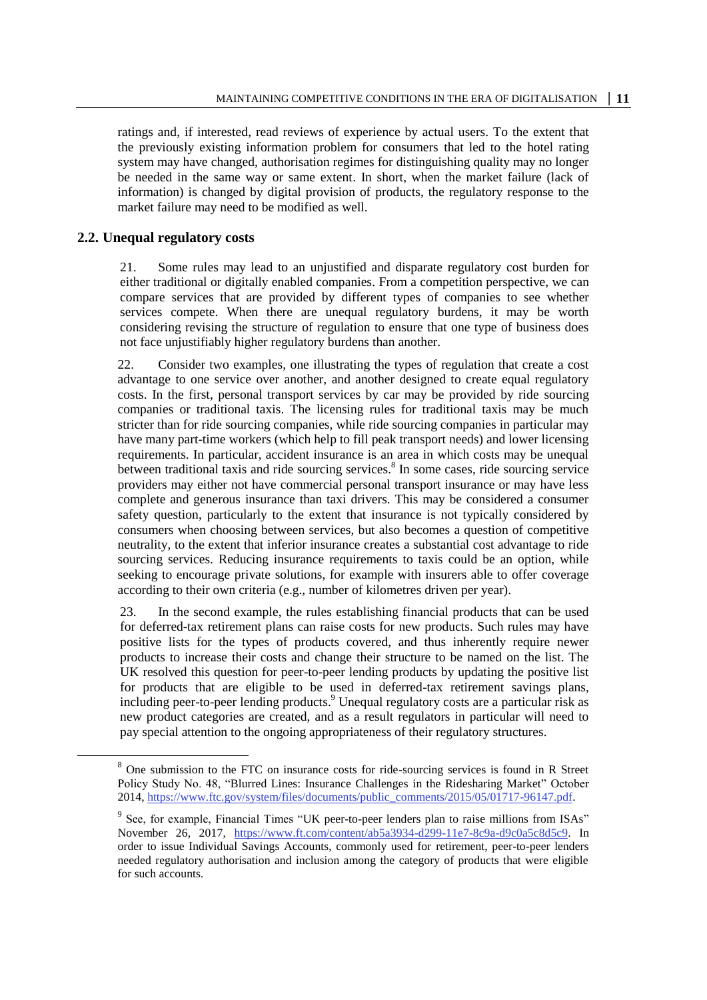ratings and, if interested, read reviews of experience by actual users. To the extent that the previously existing information problem for consumers that led to the hotel rating system may have changed, authorisation regimes for distinguishing quality may no longer be needed in the same way or same extent. In short, when the market failure (lack of information) is changed by digital provision of products, the regulatory response to the market failure may need to be modified as well.

#### **2.2. Unequal regulatory costs**

 $\overline{a}$ 

21. Some rules may lead to an unjustified and disparate regulatory cost burden for either traditional or digitally enabled companies. From a competition perspective, we can compare services that are provided by different types of companies to see whether services compete. When there are unequal regulatory burdens, it may be worth considering revising the structure of regulation to ensure that one type of business does not face unjustifiably higher regulatory burdens than another.

22. Consider two examples, one illustrating the types of regulation that create a cost advantage to one service over another, and another designed to create equal regulatory costs. In the first, personal transport services by car may be provided by ride sourcing companies or traditional taxis. The licensing rules for traditional taxis may be much stricter than for ride sourcing companies, while ride sourcing companies in particular may have many part-time workers (which help to fill peak transport needs) and lower licensing requirements. In particular, accident insurance is an area in which costs may be unequal between traditional taxis and ride sourcing services.<sup>8</sup> In some cases, ride sourcing service providers may either not have commercial personal transport insurance or may have less complete and generous insurance than taxi drivers. This may be considered a consumer safety question, particularly to the extent that insurance is not typically considered by consumers when choosing between services, but also becomes a question of competitive neutrality, to the extent that inferior insurance creates a substantial cost advantage to ride sourcing services. Reducing insurance requirements to taxis could be an option, while seeking to encourage private solutions, for example with insurers able to offer coverage according to their own criteria (e.g., number of kilometres driven per year).

23. In the second example, the rules establishing financial products that can be used for deferred-tax retirement plans can raise costs for new products. Such rules may have positive lists for the types of products covered, and thus inherently require newer products to increase their costs and change their structure to be named on the list. The UK resolved this question for peer-to-peer lending products by updating the positive list for products that are eligible to be used in deferred-tax retirement savings plans, including peer-to-peer lending products. <sup>9</sup> Unequal regulatory costs are a particular risk as new product categories are created, and as a result regulators in particular will need to pay special attention to the ongoing appropriateness of their regulatory structures.

<sup>&</sup>lt;sup>8</sup> One submission to the FTC on insurance costs for ride-sourcing services is found in R Street Policy Study No. 48, "Blurred Lines: Insurance Challenges in the Ridesharing Market" October 2014, [https://www.ftc.gov/system/files/documents/public\\_comments/2015/05/01717-96147.pdf.](https://www.ftc.gov/system/files/documents/public_comments/2015/05/01717-96147.pdf)

<sup>&</sup>lt;sup>9</sup> See, for example, Financial Times "UK peer-to-peer lenders plan to raise millions from ISAs" November 26, 2017, [https://www.ft.com/content/ab5a3934-d299-11e7-8c9a-d9c0a5c8d5c9.](https://www.ft.com/content/ab5a3934-d299-11e7-8c9a-d9c0a5c8d5c9) In order to issue Individual Savings Accounts, commonly used for retirement, peer-to-peer lenders needed regulatory authorisation and inclusion among the category of products that were eligible for such accounts.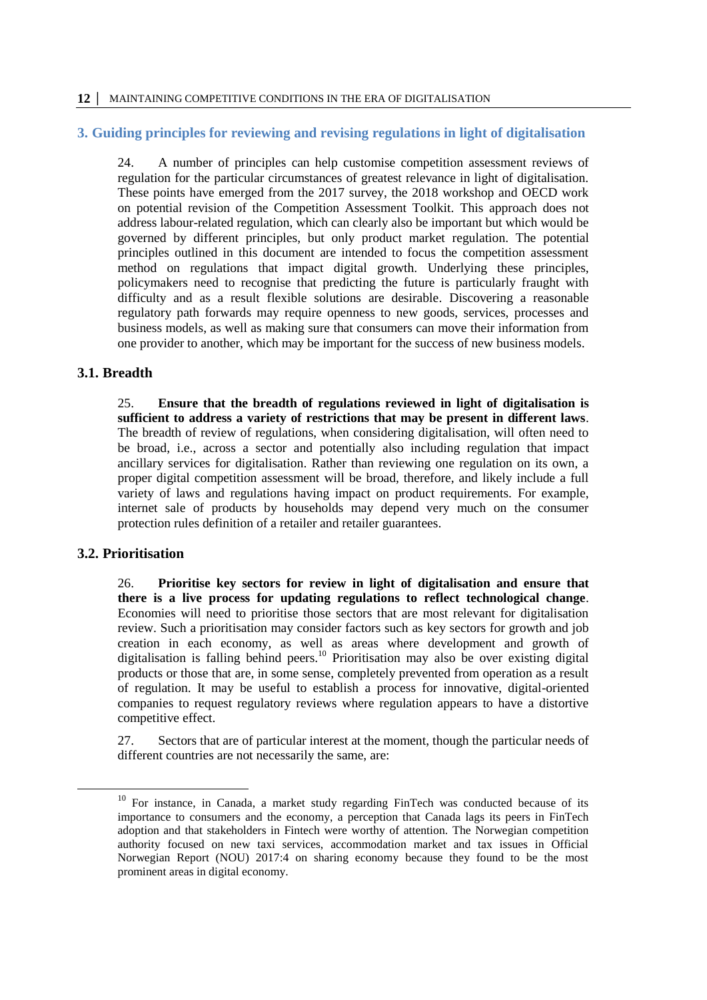## **3. Guiding principles for reviewing and revising regulations in light of digitalisation**

24. A number of principles can help customise competition assessment reviews of regulation for the particular circumstances of greatest relevance in light of digitalisation. These points have emerged from the 2017 survey, the 2018 workshop and OECD work on potential revision of the Competition Assessment Toolkit. This approach does not address labour-related regulation, which can clearly also be important but which would be governed by different principles, but only product market regulation. The potential principles outlined in this document are intended to focus the competition assessment method on regulations that impact digital growth. Underlying these principles, policymakers need to recognise that predicting the future is particularly fraught with difficulty and as a result flexible solutions are desirable. Discovering a reasonable regulatory path forwards may require openness to new goods, services, processes and business models, as well as making sure that consumers can move their information from one provider to another, which may be important for the success of new business models.

## **3.1. Breadth**

25. **Ensure that the breadth of regulations reviewed in light of digitalisation is sufficient to address a variety of restrictions that may be present in different laws**. The breadth of review of regulations, when considering digitalisation, will often need to be broad, i.e., across a sector and potentially also including regulation that impact ancillary services for digitalisation. Rather than reviewing one regulation on its own, a proper digital competition assessment will be broad, therefore, and likely include a full variety of laws and regulations having impact on product requirements. For example, internet sale of products by households may depend very much on the consumer protection rules definition of a retailer and retailer guarantees.

## **3.2. Prioritisation**

26. **Prioritise key sectors for review in light of digitalisation and ensure that there is a live process for updating regulations to reflect technological change**. Economies will need to prioritise those sectors that are most relevant for digitalisation review. Such a prioritisation may consider factors such as key sectors for growth and job creation in each economy, as well as areas where development and growth of digitalisation is falling behind peers.<sup>10</sup> Prioritisation may also be over existing digital products or those that are, in some sense, completely prevented from operation as a result of regulation. It may be useful to establish a process for innovative, digital-oriented companies to request regulatory reviews where regulation appears to have a distortive competitive effect.

27. Sectors that are of particular interest at the moment, though the particular needs of different countries are not necessarily the same, are:

 $10$  For instance, in Canada, a market study regarding FinTech was conducted because of its importance to consumers and the economy, a perception that Canada lags its peers in FinTech adoption and that stakeholders in Fintech were worthy of attention. The Norwegian competition authority focused on new taxi services, accommodation market and tax issues in Official Norwegian Report (NOU) 2017:4 on sharing economy because they found to be the most prominent areas in digital economy.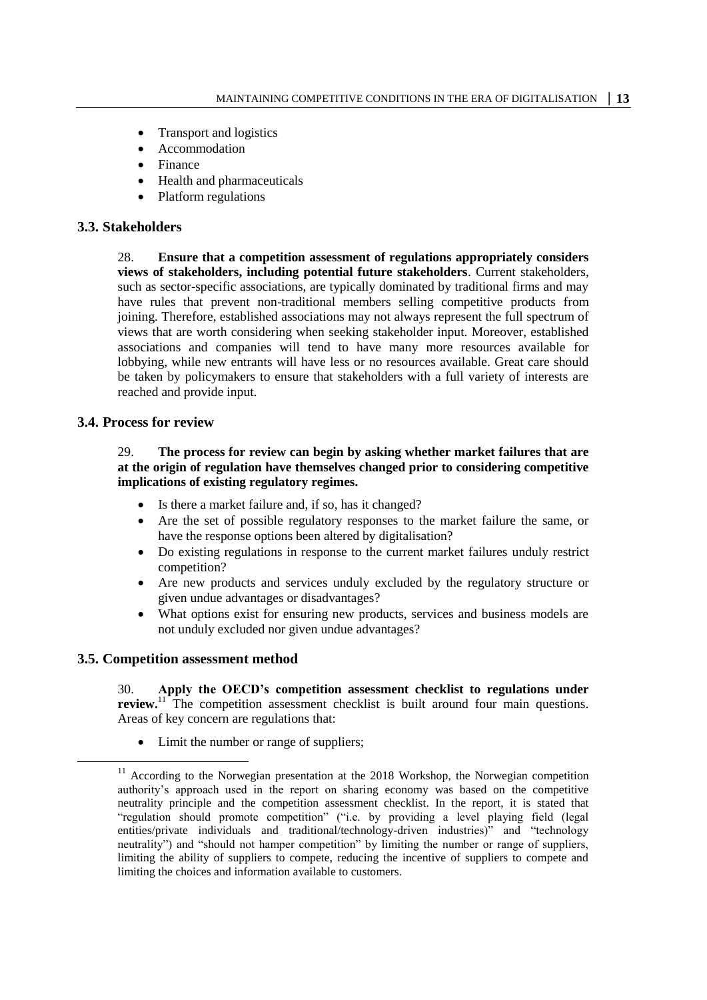- Transport and logistics
- Accommodation
- Finance
- Health and pharmaceuticals
- Platform regulations

## **3.3. Stakeholders**

28. **Ensure that a competition assessment of regulations appropriately considers views of stakeholders, including potential future stakeholders**. Current stakeholders, such as sector-specific associations, are typically dominated by traditional firms and may have rules that prevent non-traditional members selling competitive products from joining. Therefore, established associations may not always represent the full spectrum of views that are worth considering when seeking stakeholder input. Moreover, established associations and companies will tend to have many more resources available for lobbying, while new entrants will have less or no resources available. Great care should be taken by policymakers to ensure that stakeholders with a full variety of interests are reached and provide input.

## **3.4. Process for review**

#### 29. **The process for review can begin by asking whether market failures that are at the origin of regulation have themselves changed prior to considering competitive implications of existing regulatory regimes.**

- Is there a market failure and, if so, has it changed?
- Are the set of possible regulatory responses to the market failure the same, or have the response options been altered by digitalisation?
- Do existing regulations in response to the current market failures unduly restrict competition?
- Are new products and services unduly excluded by the regulatory structure or given undue advantages or disadvantages?
- What options exist for ensuring new products, services and business models are not unduly excluded nor given undue advantages?

#### **3.5. Competition assessment method**

30. **Apply the OECD's competition assessment checklist to regulations under review.**<sup>11</sup> The competition assessment checklist is built around four main questions. Areas of key concern are regulations that:

Limit the number or range of suppliers;

<sup>&</sup>lt;sup>11</sup> According to the Norwegian presentation at the 2018 Workshop, the Norwegian competition authority's approach used in the report on sharing economy was based on the competitive neutrality principle and the competition assessment checklist. In the report, it is stated that "regulation should promote competition" ("i.e. by providing a level playing field (legal entities/private individuals and traditional/technology-driven industries)" and "technology neutrality") and "should not hamper competition" by limiting the number or range of suppliers, limiting the ability of suppliers to compete, reducing the incentive of suppliers to compete and limiting the choices and information available to customers.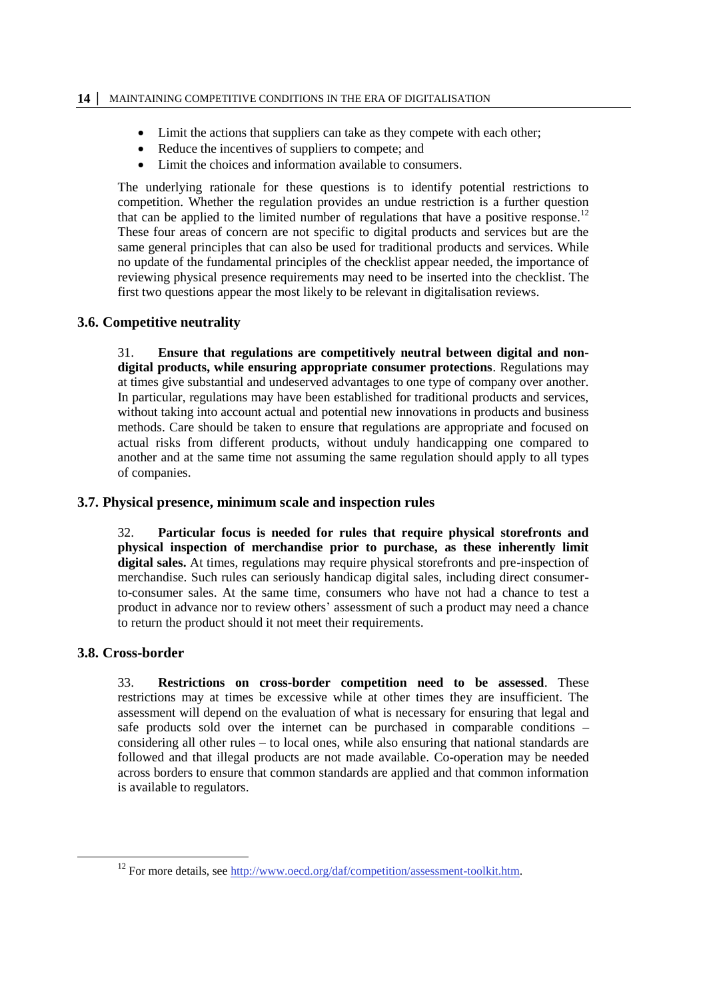- Limit the actions that suppliers can take as they compete with each other;
- Reduce the incentives of suppliers to compete; and
- Limit the choices and information available to consumers.

The underlying rationale for these questions is to identify potential restrictions to competition. Whether the regulation provides an undue restriction is a further question that can be applied to the limited number of regulations that have a positive response.<sup>12</sup> These four areas of concern are not specific to digital products and services but are the same general principles that can also be used for traditional products and services. While no update of the fundamental principles of the checklist appear needed, the importance of reviewing physical presence requirements may need to be inserted into the checklist. The first two questions appear the most likely to be relevant in digitalisation reviews.

# **3.6. Competitive neutrality**

31. **Ensure that regulations are competitively neutral between digital and nondigital products, while ensuring appropriate consumer protections**. Regulations may at times give substantial and undeserved advantages to one type of company over another. In particular, regulations may have been established for traditional products and services, without taking into account actual and potential new innovations in products and business methods. Care should be taken to ensure that regulations are appropriate and focused on actual risks from different products, without unduly handicapping one compared to another and at the same time not assuming the same regulation should apply to all types of companies.

## **3.7. Physical presence, minimum scale and inspection rules**

32. **Particular focus is needed for rules that require physical storefronts and physical inspection of merchandise prior to purchase, as these inherently limit digital sales.** At times, regulations may require physical storefronts and pre-inspection of merchandise. Such rules can seriously handicap digital sales, including direct consumerto-consumer sales. At the same time, consumers who have not had a chance to test a product in advance nor to review others' assessment of such a product may need a chance to return the product should it not meet their requirements.

# **3.8. Cross-border**

 $\overline{a}$ 

33. **Restrictions on cross-border competition need to be assessed**. These restrictions may at times be excessive while at other times they are insufficient. The assessment will depend on the evaluation of what is necessary for ensuring that legal and safe products sold over the internet can be purchased in comparable conditions – considering all other rules – to local ones, while also ensuring that national standards are followed and that illegal products are not made available. Co-operation may be needed across borders to ensure that common standards are applied and that common information is available to regulators.

 $12$  For more details, see [http://www.oecd.org/daf/competition/assessment-toolkit.htm.](http://www.oecd.org/daf/competition/assessment-toolkit.htm)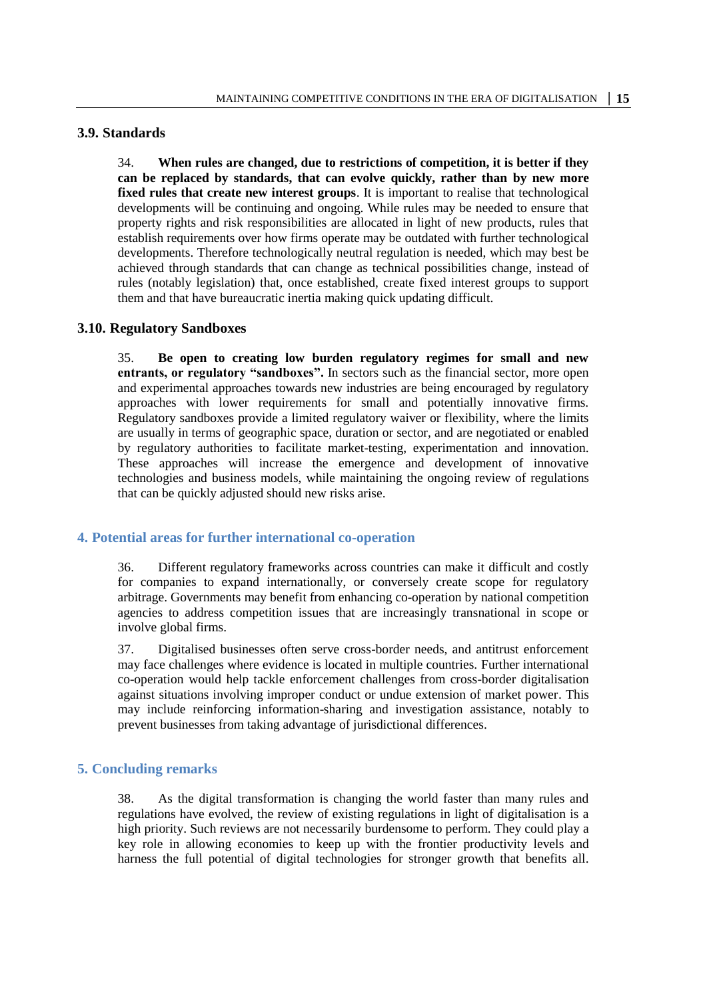## **3.9. Standards**

34. **When rules are changed, due to restrictions of competition, it is better if they can be replaced by standards, that can evolve quickly, rather than by new more fixed rules that create new interest groups**. It is important to realise that technological developments will be continuing and ongoing. While rules may be needed to ensure that property rights and risk responsibilities are allocated in light of new products, rules that establish requirements over how firms operate may be outdated with further technological developments. Therefore technologically neutral regulation is needed, which may best be achieved through standards that can change as technical possibilities change, instead of rules (notably legislation) that, once established, create fixed interest groups to support them and that have bureaucratic inertia making quick updating difficult.

#### **3.10. Regulatory Sandboxes**

35. **Be open to creating low burden regulatory regimes for small and new entrants, or regulatory "sandboxes".** In sectors such as the financial sector, more open and experimental approaches towards new industries are being encouraged by regulatory approaches with lower requirements for small and potentially innovative firms. Regulatory sandboxes provide a limited regulatory waiver or flexibility, where the limits are usually in terms of geographic space, duration or sector, and are negotiated or enabled by regulatory authorities to facilitate market-testing, experimentation and innovation. These approaches will increase the emergence and development of innovative technologies and business models, while maintaining the ongoing review of regulations that can be quickly adjusted should new risks arise.

#### **4. Potential areas for further international co-operation**

36. Different regulatory frameworks across countries can make it difficult and costly for companies to expand internationally, or conversely create scope for regulatory arbitrage. Governments may benefit from enhancing co-operation by national competition agencies to address competition issues that are increasingly transnational in scope or involve global firms.

37. Digitalised businesses often serve cross-border needs, and antitrust enforcement may face challenges where evidence is located in multiple countries. Further international co-operation would help tackle enforcement challenges from cross-border digitalisation against situations involving improper conduct or undue extension of market power. This may include reinforcing information-sharing and investigation assistance, notably to prevent businesses from taking advantage of jurisdictional differences.

#### **5. Concluding remarks**

38. As the digital transformation is changing the world faster than many rules and regulations have evolved, the review of existing regulations in light of digitalisation is a high priority. Such reviews are not necessarily burdensome to perform. They could play a key role in allowing economies to keep up with the frontier productivity levels and harness the full potential of digital technologies for stronger growth that benefits all.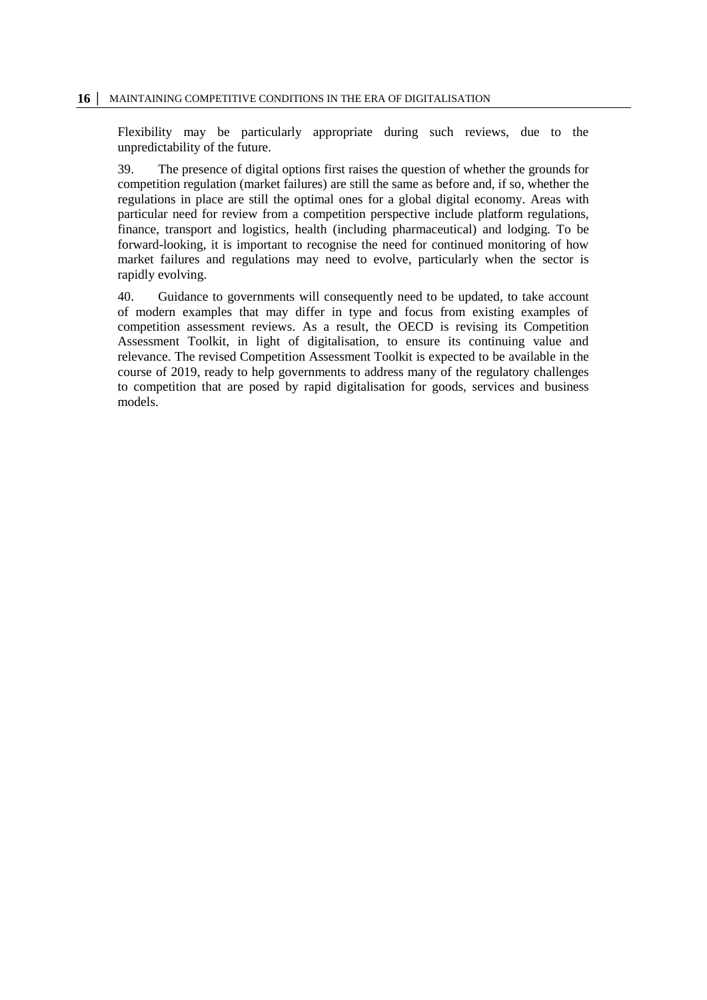Flexibility may be particularly appropriate during such reviews, due to the unpredictability of the future.

39. The presence of digital options first raises the question of whether the grounds for competition regulation (market failures) are still the same as before and, if so, whether the regulations in place are still the optimal ones for a global digital economy. Areas with particular need for review from a competition perspective include platform regulations, finance, transport and logistics, health (including pharmaceutical) and lodging. To be forward-looking, it is important to recognise the need for continued monitoring of how market failures and regulations may need to evolve, particularly when the sector is rapidly evolving.

40. Guidance to governments will consequently need to be updated, to take account of modern examples that may differ in type and focus from existing examples of competition assessment reviews. As a result, the OECD is revising its Competition Assessment Toolkit, in light of digitalisation, to ensure its continuing value and relevance. The revised Competition Assessment Toolkit is expected to be available in the course of 2019, ready to help governments to address many of the regulatory challenges to competition that are posed by rapid digitalisation for goods, services and business models.